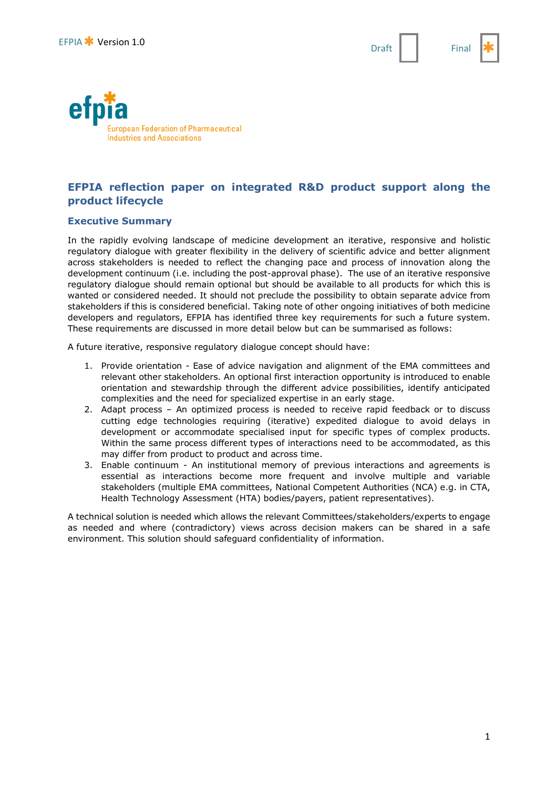



# **EFPIA reflection paper on integrated R&D product support along the product lifecycle**

## **Executive Summary**

In the rapidly evolving landscape of medicine development an iterative, responsive and holistic regulatory dialogue with greater flexibility in the delivery of scientific advice and better alignment across stakeholders is needed to reflect the changing pace and process of innovation along the development continuum (i.e. including the post-approval phase). The use of an iterative responsive regulatory dialogue should remain optional but should be available to all products for which this is wanted or considered needed. It should not preclude the possibility to obtain separate advice from stakeholders if this is considered beneficial. Taking note of other ongoing initiatives of both medicine developers and regulators, EFPIA has identified three key requirements for such a future system. These requirements are discussed in more detail below but can be summarised as follows:

A future iterative, responsive regulatory dialogue concept should have:

- 1. Provide orientation Ease of advice navigation and alignment of the EMA committees and relevant other stakeholders. An optional first interaction opportunity is introduced to enable orientation and stewardship through the different advice possibilities, identify anticipated complexities and the need for specialized expertise in an early stage.
- 2. Adapt process An optimized process is needed to receive rapid feedback or to discuss cutting edge technologies requiring (iterative) expedited dialogue to avoid delays in development or accommodate specialised input for specific types of complex products. Within the same process different types of interactions need to be accommodated, as this may differ from product to product and across time.
- 3. Enable continuum An institutional memory of previous interactions and agreements is essential as interactions become more frequent and involve multiple and variable stakeholders (multiple EMA committees, National Competent Authorities (NCA) e.g. in CTA, Health Technology Assessment (HTA) bodies/payers, patient representatives).

A technical solution is needed which allows the relevant Committees/stakeholders/experts to engage as needed and where (contradictory) views across decision makers can be shared in a safe environment. This solution should safeguard confidentiality of information.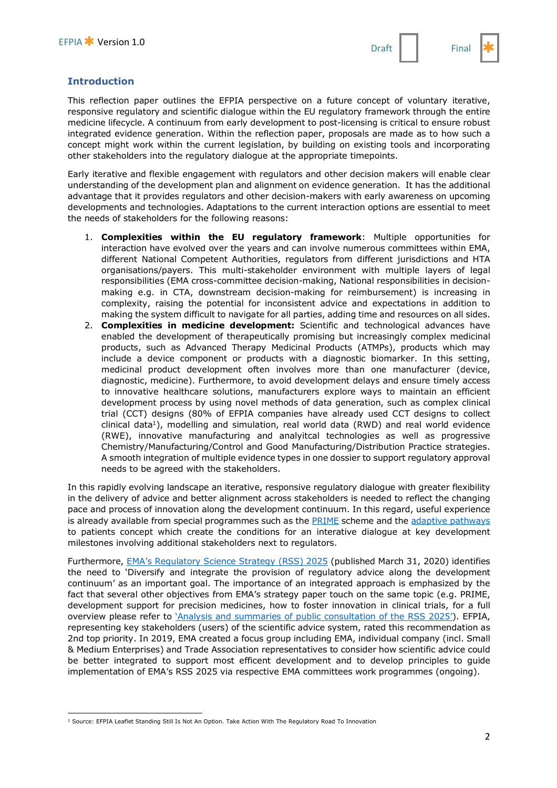## **Introduction**

This reflection paper outlines the EFPIA perspective on a future concept of voluntary iterative, responsive regulatory and scientific dialogue within the EU regulatory framework through the entire medicine lifecycle. A continuum from early development to post-licensing is critical to ensure robust integrated evidence generation. Within the reflection paper, proposals are made as to how such a concept might work within the current legislation, by building on existing tools and incorporating other stakeholders into the regulatory dialogue at the appropriate timepoints.

Early iterative and flexible engagement with regulators and other decision makers will enable clear understanding of the development plan and alignment on evidence generation. It has the additional advantage that it provides regulators and other decision-makers with early awareness on upcoming developments and technologies. Adaptations to the current interaction options are essential to meet the needs of stakeholders for the following reasons:

- 1. **Complexities within the EU regulatory framework**: Multiple opportunities for interaction have evolved over the years and can involve numerous committees within EMA, different National Competent Authorities, regulators from different jurisdictions and HTA organisations/payers. This multi-stakeholder environment with multiple layers of legal responsibilities (EMA cross-committee decision-making, National responsibilities in decisionmaking e.g. in CTA, downstream decision-making for reimbursement) is increasing in complexity, raising the potential for inconsistent advice and expectations in addition to making the system difficult to navigate for all parties, adding time and resources on all sides.
- 2. **Complexities in medicine development:** Scientific and technological advances have enabled the development of therapeutically promising but increasingly complex medicinal products, such as Advanced Therapy Medicinal Products (ATMPs), products which may include a device component or products with a diagnostic biomarker. In this setting, medicinal product development often involves more than one manufacturer (device, diagnostic, medicine). Furthermore, to avoid development delays and ensure timely access to innovative healthcare solutions, manufacturers explore ways to maintain an efficient development process by using novel methods of data generation, such as complex clinical trial (CCT) designs (80% of EFPIA companies have already used CCT designs to collect clinical data<sup>1</sup>), modelling and simulation, real world data (RWD) and real world evidence (RWE), innovative manufacturing and analyitcal technologies as well as progressive Chemistry/Manufacturing/Control and Good Manufacturing/Distribution Practice strategies. A smooth integration of multiple evidence types in one dossier to support regulatory approval needs to be agreed with the stakeholders.

In this rapidly evolving landscape an iterative, responsive regulatory dialogue with greater flexibility in the delivery of advice and better alignment across stakeholders is needed to reflect the changing pace and process of innovation along the development continuum. In this regard, useful experience is already available from special programmes such as the **PRIME** scheme and the adaptive pathways to patients concept which create the conditions for an interative dialogue at key development milestones involving additional stakeholders next to regulators.

Furthermore, EMA's Regulatory Science Strategy (RSS) 2025 (published March 31, 2020) identifies the need to 'Diversify and integrate the provision of regulatory advice along the development continuum' as an important goal. The importance of an integrated approach is emphasized by the fact that several other objectives from EMA's strategy paper touch on the same topic (e.g. PRIME, development support for precision medicines, how to foster innovation in clinical trials, for a full overview please refer to 'Analysis and summaries of public consultation of the RSS 2025'). EFPIA, representing key stakeholders (users) of the scientific advice system, rated this recommendation as 2nd top priority. In 2019, EMA created a focus group including EMA, individual company (incl. Small & Medium Enterprises) and Trade Association representatives to consider how scientific advice could be better integrated to support most efficent development and to develop principles to guide implementation of EMA's RSS 2025 via respective EMA committees work programmes (ongoing).

 $\overline{a}$ <sup>1</sup> Source: EFPIA Leaflet Standing Still Is Not An Option. Take Action With The Regulatory Road To Innovation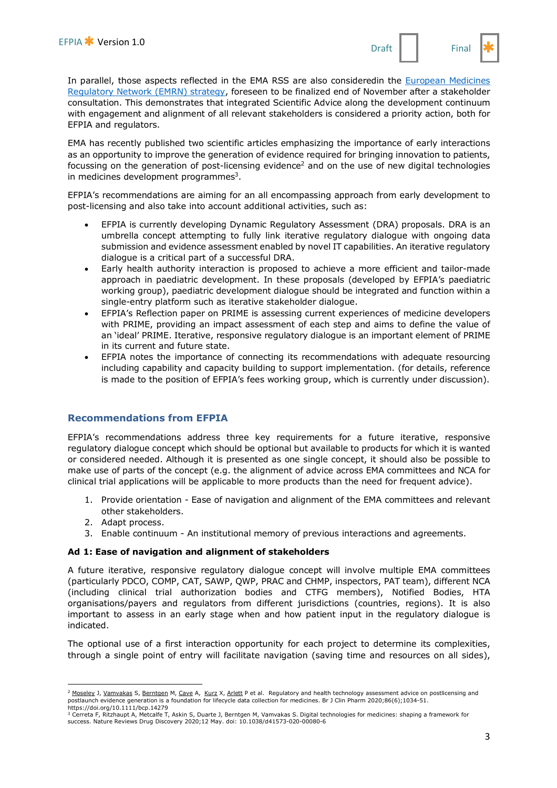

In parallel, those aspects reflected in the EMA RSS are also consideredin the European Medicines Regulatory Network (EMRN) strategy, foreseen to be finalized end of November after a stakeholder consultation. This demonstrates that integrated Scientific Advice along the development continuum with engagement and alignment of all relevant stakeholders is considered a priority action, both for EFPIA and regulators.

EMA has recently published two scientific articles emphasizing the importance of early interactions as an opportunity to improve the generation of evidence required for bringing innovation to patients, focussing on the generation of post-licensing evidence<sup>2</sup> and on the use of new digital technologies in medicines development programmes $3$ .

EFPIA's recommendations are aiming for an all encompassing approach from early development to post-licensing and also take into account additional activities, such as:

- EFPIA is currently developing Dynamic Regulatory Assessment (DRA) proposals. DRA is an umbrella concept attempting to fully link iterative regulatory dialogue with ongoing data submission and evidence assessment enabled by novel IT capabilities. An iterative regulatory dialogue is a critical part of a successful DRA.
- Early health authority interaction is proposed to achieve a more efficient and tailor-made approach in paediatric development. In these proposals (developed by EFPIA's paediatric working group), paediatric development dialogue should be integrated and function within a single-entry platform such as iterative stakeholder dialogue.
- EFPIA's Reflection paper on PRIME is assessing current experiences of medicine developers with PRIME, providing an impact assessment of each step and aims to define the value of an 'ideal' PRIME. Iterative, responsive regulatory dialogue is an important element of PRIME in its current and future state.
- EFPIA notes the importance of connecting its recommendations with adequate resourcing including capability and capacity building to support implementation. (for details, reference is made to the position of EFPIA's fees working group, which is currently under discussion).

## **Recommendations from EFPIA**

EFPIA's recommendations address three key requirements for a future iterative, responsive regulatory dialogue concept which should be optional but available to products for which it is wanted or considered needed. Although it is presented as one single concept, it should also be possible to make use of parts of the concept (e.g. the alignment of advice across EMA committees and NCA for clinical trial applications will be applicable to more products than the need for frequent advice).

- 1. Provide orientation Ease of navigation and alignment of the EMA committees and relevant other stakeholders.
- 2. Adapt process.

 $\overline{a}$ 

3. Enable continuum - An institutional memory of previous interactions and agreements.

### **Ad 1: Ease of navigation and alignment of stakeholders**

A future iterative, responsive regulatory dialogue concept will involve multiple EMA committees (particularly PDCO, COMP, CAT, SAWP, QWP, PRAC and CHMP, inspectors, PAT team), different NCA (including clinical trial authorization bodies and CTFG members), Notified Bodies, HTA organisations/payers and regulators from different jurisdictions (countries, regions). It is also important to assess in an early stage when and how patient input in the regulatory dialogue is indicated.

The optional use of a first interaction opportunity for each project to determine its complexities, through a single point of entry will facilitate navigation (saving time and resources on all sides),

<sup>&</sup>lt;sup>2</sup> Moseley J, Vamvakas S, Berntgen M, Cave A, Kurz X, Arlett P et al. Regulatory and health technology assessment advice on postlicensing and postlaunch evidence generation is a foundation for lifecycle data collection for medicines. Br J Clin Pharm 2020;86(6);1034-51. https://doi.org/10.1111/bcp.14279

<sup>3</sup> Cerreta F, Ritzhaupt A, Metcalfe T, Askin S, Duarte J, Berntgen M, Vamvakas S. Digital technologies for medicines: shaping a framework for success. Nature Reviews Drug Discovery 2020;12 May. doi: 10.1038/d41573-020-00080-6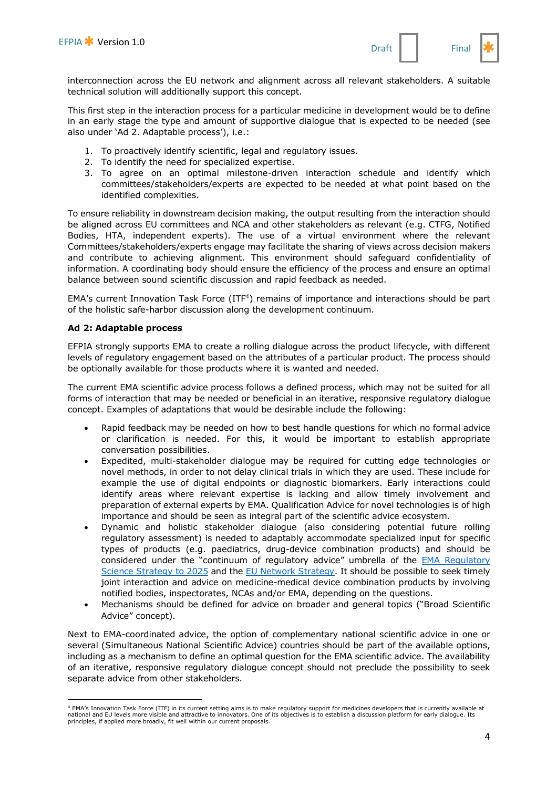interconnection across the EU network and alignment across all relevant stakeholders. A suitable technical solution will additionally support this concept.

This first step in the interaction process for a particular medicine in development would be to define in an early stage the type and amount of supportive dialogue that is expected to be needed (see also under 'Ad 2. Adaptable process'), i.e.:

- 1. To proactively identify scientific, legal and regulatory issues.
- 2. To identify the need for specialized expertise.
- 3. To agree on an optimal milestone-driven interaction schedule and identify which committees/stakeholders/experts are expected to be needed at what point based on the identified complexities.

To ensure reliability in downstream decision making, the output resulting from the interaction should be aligned across EU committees and NCA and other stakeholders as relevant (e.g. CTFG, Notified Bodies, HTA, independent experts). The use of a virtual environment where the relevant Committees/stakeholders/experts engage may facilitate the sharing of views across decision makers and contribute to achieving alignment. This environment should safeguard confidentiality of information. A coordinating body should ensure the efficiency of the process and ensure an optimal balance between sound scientific discussion and rapid feedback as needed.

EMA's current Innovation Task Force (ITF4) remains of importance and interactions should be part of the holistic safe-harbor discussion along the development continuum.

#### **Ad 2: Adaptable process**

 $\overline{a}$ 

EFPIA strongly supports EMA to create a rolling dialogue across the product lifecycle, with different levels of regulatory engagement based on the attributes of a particular product. The process should be optionally available for those products where it is wanted and needed.

The current EMA scientific advice process follows a defined process, which may not be suited for all forms of interaction that may be needed or beneficial in an iterative, responsive regulatory dialogue concept. Examples of adaptations that would be desirable include the following:

- Rapid feedback may be needed on how to best handle questions for which no formal advice or clarification is needed. For this, it would be important to establish appropriate conversation possibilities.
- Expedited, multi-stakeholder dialogue may be required for cutting edge technologies or novel methods, in order to not delay clinical trials in which they are used. These include for example the use of digital endpoints or diagnostic biomarkers. Early interactions could identify areas where relevant expertise is lacking and allow timely involvement and preparation of external experts by EMA. Qualification Advice for novel technologies is of high importance and should be seen as integral part of the scientific advice ecosystem.
- Dynamic and holistic stakeholder dialogue (also considering potential future rolling regulatory assessment) is needed to adaptably accommodate specialized input for specific types of products (e.g. paediatrics, drug-device combination products) and should be considered under the "continuum of regulatory advice" umbrella of the **EMA Regulatory** Science Strategy to 2025 and the EU Network Strategy. It should be possible to seek timely joint interaction and advice on medicine-medical device combination products by involving notified bodies, inspectorates, NCAs and/or EMA, depending on the questions.
- Mechanisms should be defined for advice on broader and general topics ("Broad Scientific Advice" concept).

Next to EMA-coordinated advice, the option of complementary national scientific advice in one or several (Simultaneous National Scientific Advice) countries should be part of the available options, including as a mechanism to define an optimal question for the EMA scientific advice. The availability of an iterative, responsive regulatory dialogue concept should not preclude the possibility to seek separate advice from other stakeholders.

<sup>4</sup> EMA's Innovation Task Force (ITF) in its current setting aims is to make regulatory support for medicines developers that is currently available at national and EU levels more visible and attractive to innovators. One of its objectives is to establish a discussion platform for early dialogue. Its principles, if applied more broadly, fit well within our current proposals.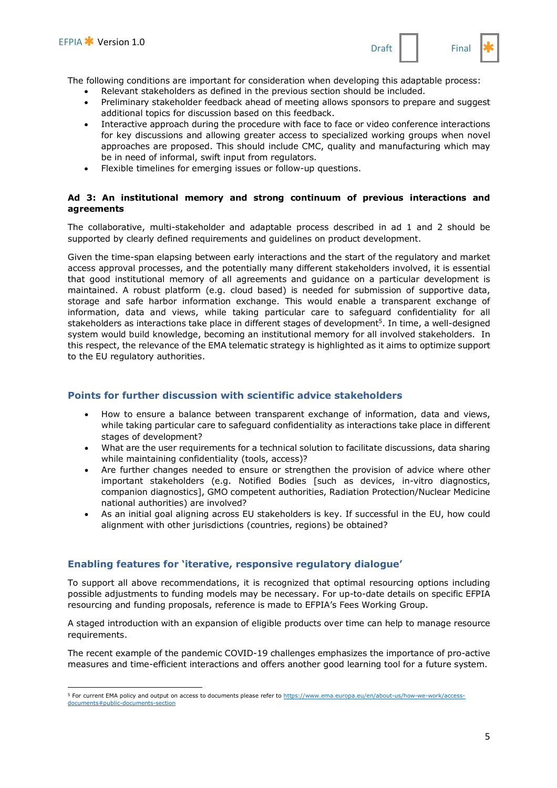

- Relevant stakeholders as defined in the previous section should be included.
- Preliminary stakeholder feedback ahead of meeting allows sponsors to prepare and suggest additional topics for discussion based on this feedback.
- Interactive approach during the procedure with face to face or video conference interactions for key discussions and allowing greater access to specialized working groups when novel approaches are proposed. This should include CMC, quality and manufacturing which may be in need of informal, swift input from regulators.
- Flexible timelines for emerging issues or follow-up questions.

#### **Ad 3: An institutional memory and strong continuum of previous interactions and agreements**

The collaborative, multi-stakeholder and adaptable process described in ad 1 and 2 should be supported by clearly defined requirements and guidelines on product development.

Given the time-span elapsing between early interactions and the start of the regulatory and market access approval processes, and the potentially many different stakeholders involved, it is essential that good institutional memory of all agreements and guidance on a particular development is maintained. A robust platform (e.g. cloud based) is needed for submission of supportive data, storage and safe harbor information exchange. This would enable a transparent exchange of information, data and views, while taking particular care to safeguard confidentiality for all stakeholders as interactions take place in different stages of development<sup>5</sup>. In time, a well-designed system would build knowledge, becoming an institutional memory for all involved stakeholders. In this respect, the relevance of the EMA telematic strategy is highlighted as it aims to optimize support to the EU regulatory authorities.

## **Points for further discussion with scientific advice stakeholders**

- How to ensure a balance between transparent exchange of information, data and views, while taking particular care to safeguard confidentiality as interactions take place in different stages of development?
- What are the user requirements for a technical solution to facilitate discussions, data sharing while maintaining confidentiality (tools, access)?
- Are further changes needed to ensure or strengthen the provision of advice where other important stakeholders (e.g. Notified Bodies [such as devices, in-vitro diagnostics, companion diagnostics], GMO competent authorities, Radiation Protection/Nuclear Medicine national authorities) are involved?
- As an initial goal aligning across EU stakeholders is key. If successful in the EU, how could alignment with other jurisdictions (countries, regions) be obtained?

## **Enabling features for 'iterative, responsive regulatory dialogue'**

To support all above recommendations, it is recognized that optimal resourcing options including possible adjustments to funding models may be necessary. For up-to-date details on specific EFPIA resourcing and funding proposals, reference is made to EFPIA's Fees Working Group.

A staged introduction with an expansion of eligible products over time can help to manage resource requirements.

The recent example of the pandemic COVID-19 challenges emphasizes the importance of pro-active measures and time-efficient interactions and offers another good learning tool for a future system.

 $\overline{a}$ 5 For current EMA policy and output on access to documents please refer to https://www.ema.europa.eu/en/about-us/how-we-work/accessdocuments#publi